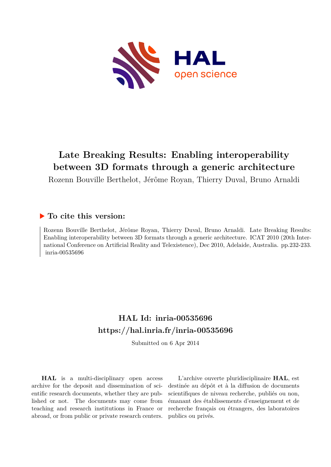

# **Late Breaking Results: Enabling interoperability between 3D formats through a generic architecture**

Rozenn Bouville Berthelot, Jérôme Royan, Thierry Duval, Bruno Arnaldi

### **To cite this version:**

Rozenn Bouville Berthelot, Jérôme Royan, Thierry Duval, Bruno Arnaldi. Late Breaking Results: Enabling interoperability between 3D formats through a generic architecture. ICAT 2010 (20th International Conference on Artificial Reality and Telexistence), Dec 2010, Adelaide, Australia. pp.232-233. inria-00535696

## **HAL Id: inria-00535696 <https://hal.inria.fr/inria-00535696>**

Submitted on 6 Apr 2014

**HAL** is a multi-disciplinary open access archive for the deposit and dissemination of scientific research documents, whether they are published or not. The documents may come from teaching and research institutions in France or abroad, or from public or private research centers.

L'archive ouverte pluridisciplinaire **HAL**, est destinée au dépôt et à la diffusion de documents scientifiques de niveau recherche, publiés ou non, émanant des établissements d'enseignement et de recherche français ou étrangers, des laboratoires publics ou privés.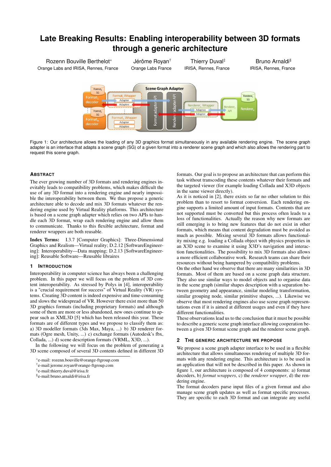## **Late Breaking Results: Enabling interoperability between 3D formats through a generic architecture**

Rozenn Bouville Berthelot<sup>∗</sup> Orange Labs and IRISA, Rennes, France

Jérôme Royan† Orange Labs France

Thierry Duval‡ IRISA, Rennes, France

Bruno Arnaldi§ IRISA, Rennes, France



Figure 1: Our architecture allows the loading of any 3D graphics format simultaneously in any available rendering engine. The scene graph adapter is an interface that adapts a scene graph (SG) of a given format into a renderer scene graph and which also allows the rendering part to request this scene graph.

#### **ABSTRACT**

The ever growing number of 3D formats and rendering engines inevitably leads to compatibility problems, which makes difficult the use of any 3D format into a rendering engine and nearly impossible the interoperability between them. We thus propose a generic architecture able to decode and mix 3D formats whatever the rendering engine used by Virtual Reality platforms. This architecture is based on a scene graph adapter which relies on two APIs to handle each 3D format, wrap each rendering engine and allow them to communicate. Thanks to this flexible architecture, format and renderer wrappers are both reusable.

Index Terms: I.3.7 [Computer Graphics]: Three-Dimensional Graphics and Realism—Virtual reality; D.2.12 [SoftwareEngineering]: Interoperability—Data mapping; D.2.13 [SoftwareEngineering]: Reusable Software—Reusable libraires

#### **1 INTRODUCTION**

Interoperability in computer science has always been a challenging problem. In this paper we will focus on the problem of 3D content interoperability. As stressed by Polys in [4], interoperability is a "crucial requirement for success" of Virtual Reality (VR) systems. Creating 3D content is indeed expensive and time-consuming and slows the widespread of VR. However there exist more than 50 3D graphics formats (including proprietary formats) and although some of them are more or less abandoned, new ones continue to appear such as XML3D [5] which has been released this year. These formats are of different types and we propose to classify them as: a) 3D modeller formats (3ds Max, Maya, ...) b) 3D renderer formats (Ogre mesh, Unity, ...) c) exchange formats (Autodesk's fbx, Collada, ...) d) scene description formats (VRML, X3D, ...).

In the following we will focus on the problem of generating a 3D scene composed of several 3D contents defined in different 3D

formats. Our goal is to propose an architecture that can perform this task without transcoding these contents whatever their formats and the targeted viewer (for example loading Collada and X3D objects in the same viewer directly).

As it is noticed in [2], there exists so far no other solution to this problem than to resort to format conversion. Each rendering engine supports a limited amount of input formats. Contents that are not supported must be converted but this process often leads to a loss of functionalities. Actually the reason why new formats are still emerging is to bring new features that do not exist in other formats, which means that content degradation must be avoided as much as possible. Mixing several 3D formats allows functionality mixing e.g. loading a Collada object with physics properties in an X3D scene to examine it using X3D's navigation and interaction functionalities. The possibility to mix 3D formats also allows a more efficient collaborative work. Research teams can share their resources without being hampered by compatibility problems.

On the other hand we observe that there are many similarities in 3D formats. Most of them are based on a scene graph data structure. They also use similar ways to model objects and to organise data in the scene graph (similar shapes description with a separation between geometry and appearance, similar modeling transformation, similar grouping node, similar primitive shapes, ...). Likewise we observe that most rendering engines also use scene graph representations even if it is aimed at different usages and even if they have different functionalities.

These observations lead us to the conclusion that it must be possible to describe a generic scene graph interface allowing cooperation between a given 3D format scene graph and the renderer scene graph.

#### **2 THE GENERIC ARCHITECTURE WE PROPOSE**

We propose a scene graph adapter interface to be used in a flexible architecture that allows simultaneous rendering of multiple 3D formats with any rendering engine. This architecture is to be used in an application that will not be described in this paper. As shown in figure 1, our architecture is composed of 4 components: a) format decoders, b) *format wrappers*, c) the *renderer wrapper*, d) the rendering engine.

The format decoders parse input files of a given format and also manage scene graph updates as well as format specific processes. They are specific to each 3D format and can integrate any useful

<sup>∗</sup> e-mail: rozenn.bouville@orange-ftgroup.com

<sup>†</sup> e-mail:jerome.royan@orange-ftgroup.com

<sup>‡</sup> e-mail:thierry.duval@irisa.fr

<sup>§</sup> e-mail:bruno.arnaldi@irisa.fr